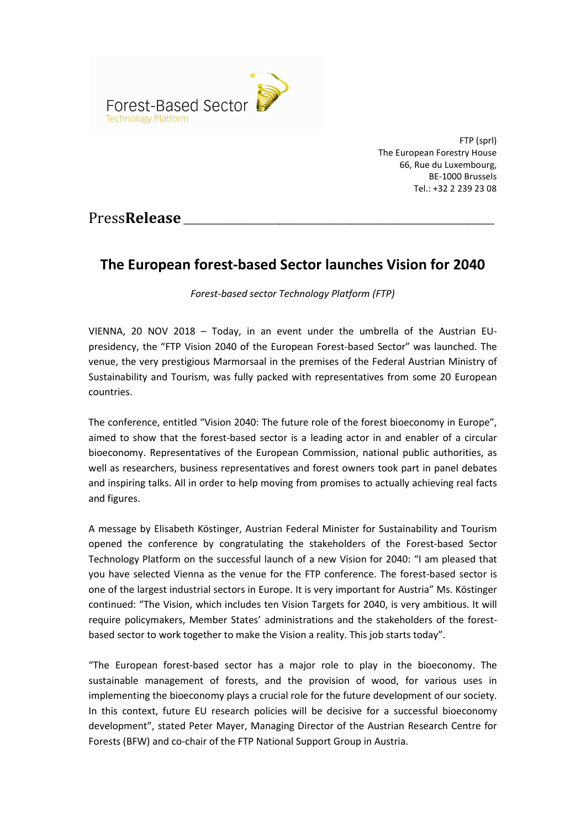

FTP (sprl) The European Forestry House 66, Rue du Luxembourg, BE-1000 Brussels Tel.: +32 2 239 23 08

## Press**Release**

# The European forest-based Sector launches Vision for 2040

Forest-based sector Technology Platform (FTP)

VIENNA, 20 NOV 2018 – Today, in an event under the umbrella of the Austrian EUpresidency, the "FTP Vision 2040 of the European Forest-based Sector" was launched. The venue, the very prestigious Marmorsaal in the premises of the Federal Austrian Ministry of Sustainability and Tourism, was fully packed with representatives from some 20 European countries.

The conference, entitled "Vision 2040: The future role of the forest bioeconomy in Europe", aimed to show that the forest-based sector is a leading actor in and enabler of a circular bioeconomy. Representatives of the European Commission, national public authorities, as well as researchers, business representatives and forest owners took part in panel debates and inspiring talks. All in order to help moving from promises to actually achieving real facts and figures.

A message by Elisabeth Köstinger, Austrian Federal Minister for Sustainability and Tourism opened the conference by congratulating the stakeholders of the Forest-based Sector Technology Platform on the successful launch of a new Vision for 2040: "I am pleased that you have selected Vienna as the venue for the FTP conference. The forest-based sector is one of the largest industrial sectors in Europe. It is very important for Austria" Ms. Köstinger continued: "The Vision, which includes ten Vision Targets for 2040, is very ambitious. It will require policymakers, Member States' administrations and the stakeholders of the forestbased sector to work together to make the Vision a reality. This job starts today".

"The European forest-based sector has a major role to play in the bioeconomy. The sustainable management of forests, and the provision of wood, for various uses in implementing the bioeconomy plays a crucial role for the future development of our society. In this context, future EU research policies will be decisive for a successful bioeconomy development", stated Peter Mayer, Managing Director of the Austrian Research Centre for Forests (BFW) and co-chair of the FTP National Support Group in Austria.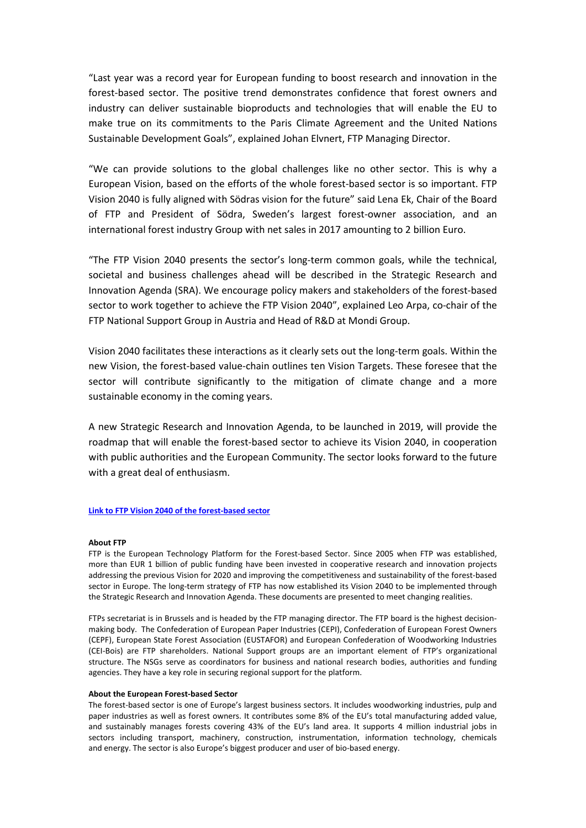"Last year was a record year for European funding to boost research and innovation in the forest-based sector. The positive trend demonstrates confidence that forest owners and industry can deliver sustainable bioproducts and technologies that will enable the EU to make true on its commitments to the Paris Climate Agreement and the United Nations Sustainable Development Goals", explained Johan Elvnert, FTP Managing Director.

"We can provide solutions to the global challenges like no other sector. This is why a European Vision, based on the efforts of the whole forest-based sector is so important. FTP Vision 2040 is fully aligned with Södras vision for the future" said Lena Ek, Chair of the Board of FTP and President of Södra, Sweden's largest forest-owner association, and an international forest industry Group with net sales in 2017 amounting to 2 billion Euro.

"The FTP Vision 2040 presents the sector's long-term common goals, while the technical, societal and business challenges ahead will be described in the Strategic Research and Innovation Agenda (SRA). We encourage policy makers and stakeholders of the forest-based sector to work together to achieve the FTP Vision 2040", explained Leo Arpa, co-chair of the FTP National Support Group in Austria and Head of R&D at Mondi Group.

Vision 2040 facilitates these interactions as it clearly sets out the long-term goals. Within the new Vision, the forest-based value-chain outlines ten Vision Targets. These foresee that the sector will contribute significantly to the mitigation of climate change and a more sustainable economy in the coming years.

A new Strategic Research and Innovation Agenda, to be launched in 2019, will provide the roadmap that will enable the forest-based sector to achieve its Vision 2040, in cooperation with public authorities and the European Community. The sector looks forward to the future with a great deal of enthusiasm.

### Link to FTP Vision 2040 of the forest-based sector

#### About FTP

FTP is the European Technology Platform for the Forest-based Sector. Since 2005 when FTP was established, more than EUR 1 billion of public funding have been invested in cooperative research and innovation projects addressing the previous Vision for 2020 and improving the competitiveness and sustainability of the forest-based sector in Europe. The long-term strategy of FTP has now established its Vision 2040 to be implemented through the Strategic Research and Innovation Agenda. These documents are presented to meet changing realities.

FTPs secretariat is in Brussels and is headed by the FTP managing director. The FTP board is the highest decisionmaking body. The Confederation of European Paper Industries (CEPI), Confederation of European Forest Owners (CEPF), European State Forest Association (EUSTAFOR) and European Confederation of Woodworking Industries (CEI-Bois) are FTP shareholders. National Support groups are an important element of FTP's organizational structure. The NSGs serve as coordinators for business and national research bodies, authorities and funding agencies. They have a key role in securing regional support for the platform.

#### About the European Forest-based Sector

The forest-based sector is one of Europe's largest business sectors. It includes woodworking industries, pulp and paper industries as well as forest owners. It contributes some 8% of the EU's total manufacturing added value, and sustainably manages forests covering 43% of the EU's land area. It supports 4 million industrial jobs in sectors including transport, machinery, construction, instrumentation, information technology, chemicals and energy. The sector is also Europe's biggest producer and user of bio-based energy.